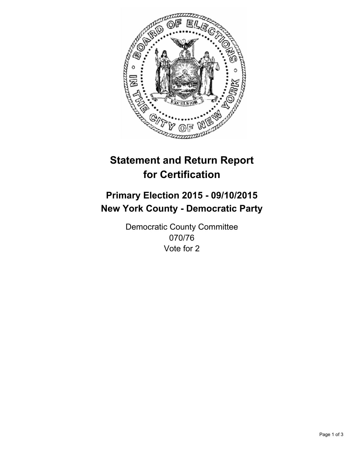

# **Statement and Return Report for Certification**

## **Primary Election 2015 - 09/10/2015 New York County - Democratic Party**

Democratic County Committee 070/76 Vote for 2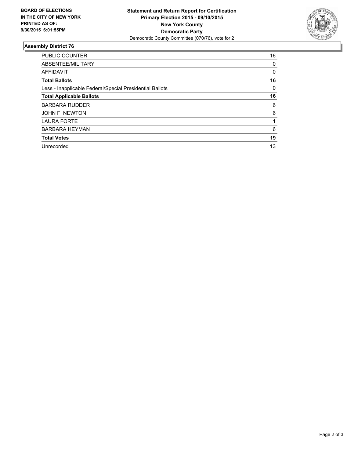

#### **Assembly District 76**

| <b>PUBLIC COUNTER</b>                                    | 16 |
|----------------------------------------------------------|----|
| ABSENTEE/MILITARY                                        | 0  |
| <b>AFFIDAVIT</b>                                         | 0  |
| <b>Total Ballots</b>                                     | 16 |
| Less - Inapplicable Federal/Special Presidential Ballots | 0  |
| <b>Total Applicable Ballots</b>                          | 16 |
| <b>BARBARA RUDDER</b>                                    | 6  |
| JOHN F. NEWTON                                           | 6  |
| <b>LAURA FORTE</b>                                       |    |
| <b>BARBARA HEYMAN</b>                                    | 6  |
| <b>Total Votes</b>                                       | 19 |
| Unrecorded                                               | 13 |